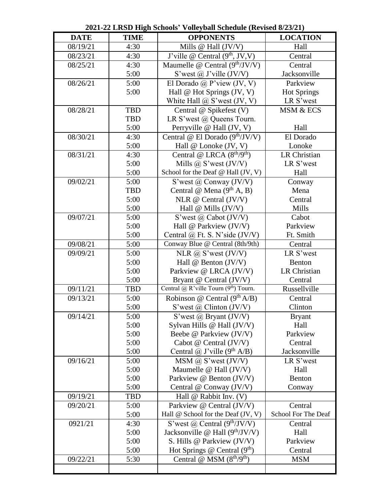|             |             | $\frac{1}{2}$ one $\frac{1}{2}$ of $\frac{1}{2}$ one $\frac{1}{2}$ of $\frac{1}{2}$ of $\frac{1}{2}$ of $\frac{1}{2}$ |                     |
|-------------|-------------|-----------------------------------------------------------------------------------------------------------------------|---------------------|
| <b>DATE</b> | <b>TIME</b> | <b>OPPONENTS</b>                                                                                                      | <b>LOCATION</b>     |
| 08/19/21    | 4:30        | Mills $@$ Hall $(JV/V)$                                                                                               | Hall                |
| 08/23/21    | 4:30        | J'ville @ Central (9 <sup>th</sup> , JV, V)                                                                           | Central             |
| 08/25/21    | 4:30        | Maumelle @ Central $(9th/JV/V)$                                                                                       | Central             |
|             | 5:00        | S'west $\omega$ J'ville (JV/V)                                                                                        | Jacksonville        |
| 08/26/21    | 5:00        | El Dorado @ P'view (JV, V)                                                                                            | Parkview            |
|             | 5:00        | Hall @ Hot Springs (JV, V)                                                                                            | <b>Hot Springs</b>  |
|             |             | White Hall @ S'west (JV, V)                                                                                           | LR S'west           |
| 08/28/21    | <b>TBD</b>  | Central @ Spikefest (V)                                                                                               | MSM & ECS           |
|             | <b>TBD</b>  | LR S'west @ Queens Tourn.                                                                                             |                     |
|             | 5:00        | Perryville @ Hall (JV, V)                                                                                             | Hall                |
| 08/30/21    | 4:30        | Central @ El Dorado $(9th/JV/V)$                                                                                      | El Dorado           |
|             | 5:00        | Hall @ Lonoke (JV, V)                                                                                                 | Lonoke              |
| 08/31/21    | 4:30        | Central @ LRCA (8 <sup>th</sup> /9 <sup>th</sup> )                                                                    | LR Christian        |
|             | 5:00        | Mills $\omega$ , S'west (JV/V)                                                                                        | LR S'west           |
|             | 5:00        | School for the Deaf @ Hall (JV, V)                                                                                    | Hall                |
| 09/02/21    | 5:00        | S'west $\omega$ Conway (JV/V)                                                                                         | Conway              |
|             | <b>TBD</b>  | Central @ Mena $(9th A, B)$                                                                                           | Mena                |
|             | 5:00        | NLR @ Central $(JV/V)$                                                                                                | Central             |
|             | 5:00        | Hall $@$ Mills $(JV/V)$                                                                                               | Mills               |
| 09/07/21    | 5:00        | S'west $\omega$ Cabot (JV/V)                                                                                          | Cabot               |
|             | 5:00        | Hall @ Parkview (JV/V)                                                                                                | Parkview            |
|             | 5:00        | Central $\omega$ Ft. S. N'side (JV/V)                                                                                 | Ft. Smith           |
| 09/08/21    | 5:00        | Conway Blue @ Central (8th/9th)                                                                                       | Central             |
| 09/09/21    | 5:00        | NLR $\omega$ S'west (JV/V)                                                                                            | LR S'west           |
|             | 5:00        | Hall $@$ Benton (JV/V)                                                                                                | Benton              |
|             | 5:00        | Parkview @ LRCA (JV/V)                                                                                                | LR Christian        |
|             | 5:00        | Bryant @ Central (JV/V)                                                                                               | Central             |
| 09/11/21    | <b>TBD</b>  | Central @ R'ville Tourn (9th) Tourn.                                                                                  | Russellville        |
| 09/13/21    | 5:00        | Robinson @ Central $(9th A/B)$                                                                                        | Central             |
|             | 5:00        | S'west $\omega$ Clinton (JV/V)                                                                                        | Clinton             |
| 09/14/21    | 5:00        | S'west $\omega$ Bryant (JV/V)                                                                                         | <b>Bryant</b>       |
|             | 5:00        | Sylvan Hills @ Hall (JV/V)                                                                                            | Hall                |
|             | 5:00        | Beebe @ Parkview (JV/V)                                                                                               | Parkview            |
|             | 5:00        | Cabot $@$ Central $(JV/V)$                                                                                            | Central             |
|             | 5:00        | Central $\omega$ J'ville (9 <sup>th</sup> A/B)                                                                        | Jacksonville        |
| 09/16/21    | 5:00        | $MSM$ @ S'west (JV/V)                                                                                                 | LR S'west           |
|             | 5:00        | Maumelle $@$ Hall (JV/V)                                                                                              | Hall                |
|             | 5:00        | Parkview @ Benton (JV/V)                                                                                              | Benton              |
|             | 5:00        | Central @ Conway (JV/V)                                                                                               | Conway              |
| 09/19/21    | TBD         | Hall @ Rabbit Inv. (V)                                                                                                |                     |
| 09/20/21    | 5:00        | Parkview @ Central (JV/V)                                                                                             | Central             |
|             | 5:00        | Hall @ School for the Deaf (JV, V)                                                                                    | School For The Deaf |
| 0921/21     | 4:30        | S'west @ Central $(9th/JV/V)$                                                                                         | Central             |
|             | 5:00        | Jacksonville @ Hall $(9th/JV/V)$                                                                                      | Hall                |
|             | 5:00        | S. Hills @ Parkview (JV/V)                                                                                            | Parkview            |
|             | 5:00        | Hot Springs @ Central $(9th)$                                                                                         | Central             |
| 09/22/21    | 5:30        | Central @ $\overline{\text{MSM (8th/9th)}}$                                                                           | <b>MSM</b>          |
|             |             |                                                                                                                       |                     |

**2021-22 LRSD High Schools' Volleyball Schedule (Revised 8/23/21)**